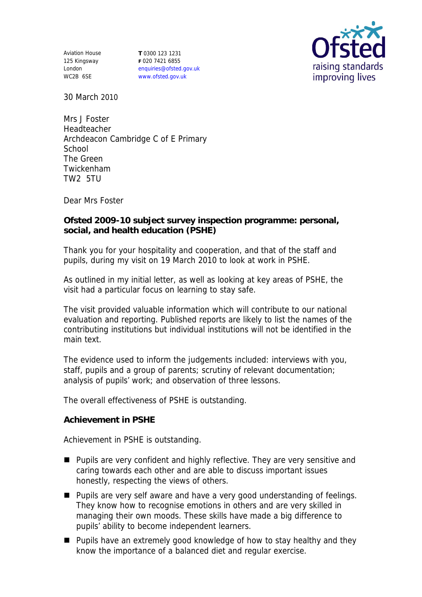Aviation House 125 Kingsway London WC2B 6SE **T** 0300 123 1231 **F** 020 7421 6855 enquiries@ofsted.gov.uk www.ofsted.gov.uk



30 March 2010

Mrs J Foster Headteacher Archdeacon Cambridge C of E Primary **School** The Green Twickenham TW2 5TU

Dear Mrs Foster

**Ofsted 2009-10 subject survey inspection programme: personal, social, and health education (PSHE)** 

Thank you for your hospitality and cooperation, and that of the staff and pupils, during my visit on 19 March 2010 to look at work in PSHE.

As outlined in my initial letter, as well as looking at key areas of PSHE, the visit had a particular focus on learning to stay safe.

The visit provided valuable information which will contribute to our national evaluation and reporting. Published reports are likely to list the names of the contributing institutions but individual institutions will not be identified in the main text.

The evidence used to inform the judgements included: interviews with you, staff, pupils and a group of parents; scrutiny of relevant documentation; analysis of pupils' work; and observation of three lessons.

The overall effectiveness of PSHE is outstanding.

**Achievement in PSHE**

Achievement in PSHE is outstanding.

- **Pupils are very confident and highly reflective. They are very sensitive and** caring towards each other and are able to discuss important issues honestly, respecting the views of others.
- **Pupils are very self aware and have a very good understanding of feelings.** They know how to recognise emotions in others and are very skilled in managing their own moods. These skills have made a big difference to pupils' ability to become independent learners.
- **Pupils have an extremely good knowledge of how to stay healthy and they** know the importance of a balanced diet and regular exercise.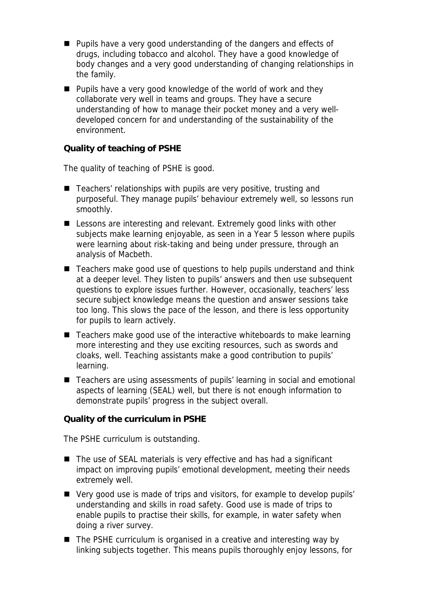- **Pupils have a very good understanding of the dangers and effects of** drugs, including tobacco and alcohol. They have a good knowledge of body changes and a very good understanding of changing relationships in the family.
- **Pupils have a very good knowledge of the world of work and they** collaborate very well in teams and groups. They have a secure understanding of how to manage their pocket money and a very welldeveloped concern for and understanding of the sustainability of the environment.

**Quality of teaching of PSHE**

The quality of teaching of PSHE is good.

- $\blacksquare$  Teachers' relationships with pupils are very positive, trusting and purposeful. They manage pupils' behaviour extremely well, so lessons run smoothly.
- Lessons are interesting and relevant. Extremely good links with other subjects make learning enjoyable, as seen in a Year 5 lesson where pupils were learning about risk-taking and being under pressure, through an analysis of Macbeth.
- Teachers make good use of questions to help pupils understand and think at a deeper level. They listen to pupils' answers and then use subsequent questions to explore issues further. However, occasionally, teachers' less secure subject knowledge means the question and answer sessions take too long. This slows the pace of the lesson, and there is less opportunity for pupils to learn actively.
- $\blacksquare$  Teachers make good use of the interactive whiteboards to make learning more interesting and they use exciting resources, such as swords and cloaks, well. Teaching assistants make a good contribution to pupils' learning.
- Teachers are using assessments of pupils' learning in social and emotional aspects of learning (SEAL) well, but there is not enough information to demonstrate pupils' progress in the subject overall.

**Quality of the curriculum in PSHE**

The PSHE curriculum is outstanding.

- The use of SEAL materials is very effective and has had a significant impact on improving pupils' emotional development, meeting their needs extremely well.
- Very good use is made of trips and visitors, for example to develop pupils' understanding and skills in road safety. Good use is made of trips to enable pupils to practise their skills, for example, in water safety when doing a river survey.
- The PSHE curriculum is organised in a creative and interesting way by linking subjects together. This means pupils thoroughly enjoy lessons, for